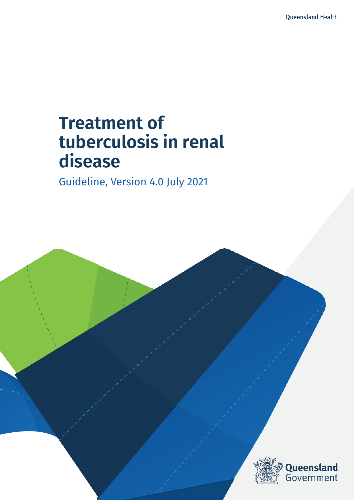# **Treatment of tuberculosis in renal disease**

Guideline, Version 4.0 July 2021

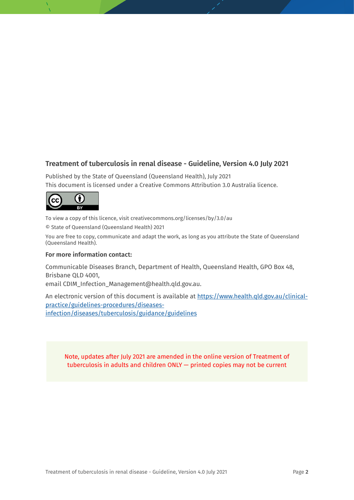### **Treatment of tuberculosis in renal disease - Guideline, Version 4.0 July 2021**

Published by the State of Queensland (Queensland Health), July 2021 This document is licensed under a Creative Commons Attribution 3.0 Australia licence.



To view a copy of this licence, visit creativecommons.org/licenses/by/3.0/au

© State of Queensland (Queensland Health) 2021

You are free to copy, communicate and adapt the work, as long as you attribute the State of Queensland (Queensland Health).

#### **For more information contact:**

Communicable Diseases Branch, Department of Health, Queensland Health, GPO Box 48, Brisbane QLD 4001,

email CDIM\_Infection\_Management@health.qld.gov.au.

An electronic version of this document is available at [https://www.health.qld.gov.au/clinical](https://www.health.qld.gov.au/clinical-practice/guidelines-procedures/diseases-infection/diseases/tuberculosis/guidance/guidelines)[practice/guidelines-procedures/diseases](https://www.health.qld.gov.au/clinical-practice/guidelines-procedures/diseases-infection/diseases/tuberculosis/guidance/guidelines)[infection/diseases/tuberculosis/guidance/guidelines](https://www.health.qld.gov.au/clinical-practice/guidelines-procedures/diseases-infection/diseases/tuberculosis/guidance/guidelines)

Note, updates after July 2021 are amended in the online version of Treatment of tuberculosis in adults and children ONLY — printed copies may not be current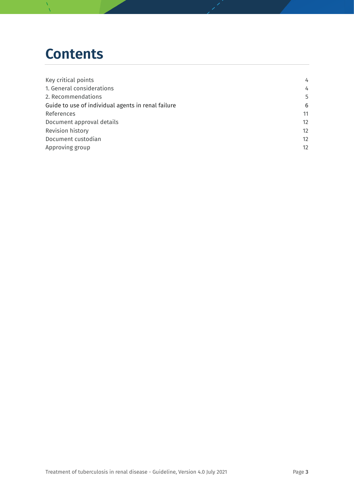## **Contents**

| Key critical points                                | 4                 |
|----------------------------------------------------|-------------------|
| 1. General considerations                          | 4                 |
| 2. Recommendations                                 | 5                 |
| Guide to use of individual agents in renal failure | 6                 |
| References                                         | 11                |
| Document approval details                          | 12                |
| <b>Revision history</b>                            | $12 \overline{ }$ |
| Document custodian                                 | $12 \overline{ }$ |
| Approving group                                    | $12 \overline{ }$ |
|                                                    |                   |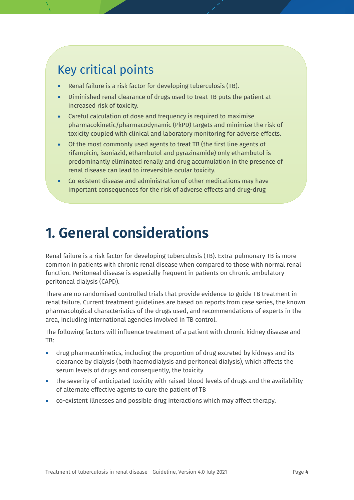### Key critical points

- Renal failure is a risk factor for developing tuberculosis (TB).
- Diminished renal clearance of drugs used to treat TB puts the patient at increased risk of toxicity.
- Careful calculation of dose and frequency is required to maximise pharmacokinetic/pharmacodynamic (PkPD) targets and minimize the risk of toxicity coupled with clinical and laboratory monitoring for adverse effects.
- Of the most commonly used agents to treat TB (the first line agents of rifampicin, isoniazid, ethambutol and pyrazinamide) only ethambutol is predominantly eliminated renally and drug accumulation in the presence of renal disease can lead to irreversible ocular toxicity.
- Co-existent disease and administration of other medications may have important consequences for the risk of adverse effects and drug-drug

# <span id="page-3-0"></span>**1. General considerations**

Renal failure is a risk factor for developing tuberculosis (TB). Extra-pulmonary TB is more common in patients with chronic renal disease when compared to those with normal renal function. Peritoneal disease is especially frequent in patients on chronic ambulatory peritoneal dialysis (CAPD).

There are no randomised controlled trials that provide evidence to guide TB treatment in renal failure. Current treatment guidelines are based on reports from case series, the known pharmacological characteristics of the drugs used, and recommendations of experts in the area, including international agencies involved in TB control.

The following factors will influence treatment of a patient with chronic kidney disease and TB: ſ

- drug pharmacokinetics, including the proportion of drug excreted by kidneys and its clearance by dialysis (both haemodialysis and peritoneal dialysis), which affects the serum levels of drugs and consequently, the toxicity l, j
- the severity of anticipated toxicity with raised blood levels of drugs and the availability of alternate effective agents to cure the patient of TB
- co-existent illnesses and possible drug interactions which may affect therapy.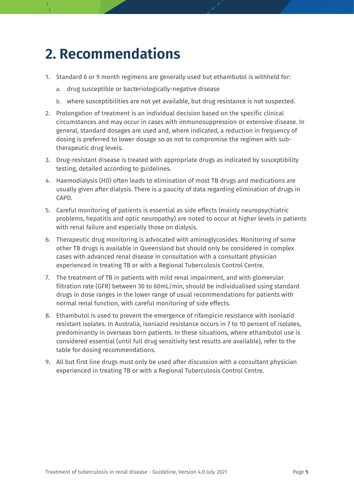## <span id="page-4-0"></span>**2. Recommendations**

- 1. Standard 6 or 9 month regimens are generally used but ethambutol is withheld for:
	- a. drug susceptible or bacteriologically-negative disease
	- b. where susceptibilities are not yet available, but drug resistance is not suspected.
- 2. Prolongation of treatment is an individual decision based on the specific clinical circumstances and may occur in cases with immunosuppression or extensive disease. In general, standard dosages are used and, where indicated, a reduction in frequency of dosing is preferred to lower dosage so as not to compromise the regimen with subtherapeutic drug levels.
- 3. Drug-resistant disease is treated with appropriate drugs as indicated by susceptibility testing, detailed according to guidelines.
- 4. Haemodialysis (HD) often leads to elimination of most TB drugs and medications are usually given after dialysis. There is a paucity of data regarding elimination of drugs in CAPD.
- 5. Careful monitoring of patients is essential as side effects (mainly neuropsychiatric problems, hepatitis and optic neuropathy) are noted to occur at higher levels in patients with renal failure and especially those on dialysis.
- 6. Therapeutic drug monitoring is advocated with aminoglycosides. Monitoring of some other TB drugs is available in Queensland but should only be considered in complex cases with advanced renal disease in consultation with a consultant physician experienced in treating TB or with a Regional Tuberculosis Control Centre.
- 7. The treatment of TB in patients with mild renal impairment, and with glomerular filtration rate (GFR) between 30 to 60mL/min, should be individualised using standard drugs in dose ranges in the lower range of usual recommendations for patients with normal renal function, with careful monitoring of side effects.
- 8. Ethambutol is used to prevent the emergence of rifampicin resistance with isoniazid resistant isolates. In Australia, isoniazid resistance occurs in 7 to 10 percent of isolates, predominantly in overseas born patients. In these situations, where ethambutol use is considered essential (until full drug sensitivity test results are available), refer to the table for dosing recommendations.
- 9. All but first line drugs must only be used after discussion with a consultant physician experienced in treating TB or with a Regional Tuberculosis Control Centre.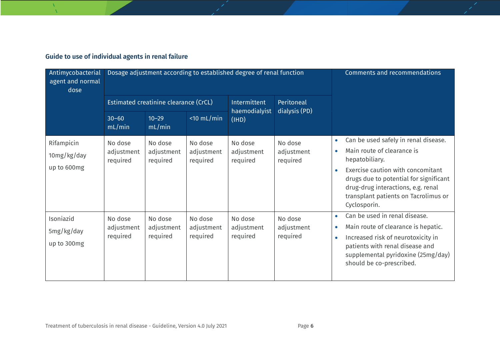### **Guide to use of individual agents in renal failure**

| Antimycobacterial<br>agent and normal<br>dose |                                       | Dosage adjustment according to established degree of renal function | Comments and recommendations      |                                   |                                   |                                                                                                                                                                                                                                                                                                          |
|-----------------------------------------------|---------------------------------------|---------------------------------------------------------------------|-----------------------------------|-----------------------------------|-----------------------------------|----------------------------------------------------------------------------------------------------------------------------------------------------------------------------------------------------------------------------------------------------------------------------------------------------------|
|                                               | Estimated creatinine clearance (CrCL) |                                                                     |                                   | Intermittent                      | Peritoneal                        |                                                                                                                                                                                                                                                                                                          |
|                                               | $30 - 60$<br>mL/min                   | $10 - 29$<br>mL/min                                                 | $<$ 10 mL/min                     | haemodialyist<br>(1HD)            | dialysis (PD)                     |                                                                                                                                                                                                                                                                                                          |
| Rifampicin<br>10mg/kg/day<br>up to 600mg      | No dose<br>adjustment<br>required     | No dose<br>adjustment<br>required                                   | No dose<br>adjustment<br>required | No dose<br>adjustment<br>required | No dose<br>adjustment<br>required | Can be used safely in renal disease.<br>$\bullet$<br>Main route of clearance is<br>$\bullet$<br>hepatobiliary.<br>Exercise caution with concomitant<br>$\bullet$<br>drugs due to potential for significant<br>drug-drug interactions, e.g. renal<br>transplant patients on Tacrolimus or<br>Cyclosporin. |
| Isoniazid<br>5mg/kg/day<br>up to 300mg        | No dose<br>adjustment<br>required     | No dose<br>adjustment<br>required                                   | No dose<br>adjustment<br>required | No dose<br>adjustment<br>required | No dose<br>adjustment<br>required | Can be used in renal disease.<br>$\bullet$<br>Main route of clearance is hepatic.<br>$\bullet$<br>Increased risk of neurotoxicity in<br>$\bullet$<br>patients with renal disease and<br>supplemental pyridoxine (25mg/day)<br>should be co-prescribed.                                                   |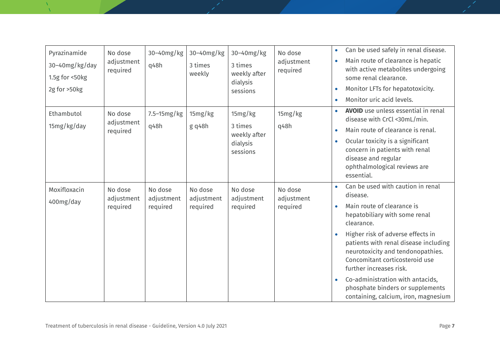| Pyrazinamide<br>30-40mg/kg/day<br>1.5g for <50kg<br>2g for >50kg | No dose<br>adjustment<br>required | 30-40mg/kg<br>q48h                | 30-40mg/kg<br>3 times<br>weekly   | 30-40mg/kg<br>3 times<br>weekly after<br>dialysis<br>sessions | No dose<br>adjustment<br>required | Can be used safely in renal disease.<br>$\bullet$<br>Main route of clearance is hepatic<br>with active metabolites undergoing<br>some renal clearance.<br>Monitor LFTs for hepatotoxicity.<br>Monitor uric acid levels.                                                                                                                                                                                                    |
|------------------------------------------------------------------|-----------------------------------|-----------------------------------|-----------------------------------|---------------------------------------------------------------|-----------------------------------|----------------------------------------------------------------------------------------------------------------------------------------------------------------------------------------------------------------------------------------------------------------------------------------------------------------------------------------------------------------------------------------------------------------------------|
| Ethambutol<br>15mg/kg/day                                        | No dose<br>adjustment<br>required | 7.5-15mg/kg<br>q48h               | 15mg/kg<br>$g$ q48h               | 15mg/kg<br>3 times<br>weekly after<br>dialysis<br>sessions    | 15mg/kg<br>q48h                   | AVOID use unless essential in renal<br>disease with CrCl <30mL/min.<br>Main route of clearance is renal.<br>Ocular toxicity is a significant<br>concern in patients with renal<br>disease and regular<br>ophthalmological reviews are<br>essential.                                                                                                                                                                        |
| Moxifloxacin<br>400mg/day                                        | No dose<br>adjustment<br>required | No dose<br>adjustment<br>required | No dose<br>adjustment<br>required | No dose<br>adjustment<br>required                             | No dose<br>adjustment<br>required | Can be used with caution in renal<br>disease.<br>Main route of clearance is<br>hepatobiliary with some renal<br>clearance.<br>Higher risk of adverse effects in<br>patients with renal disease including<br>neurotoxicity and tendonopathies.<br>Concomitant corticosteroid use<br>further increases risk.<br>Co-administration with antacids,<br>phosphate binders or supplements<br>containing, calcium, iron, magnesium |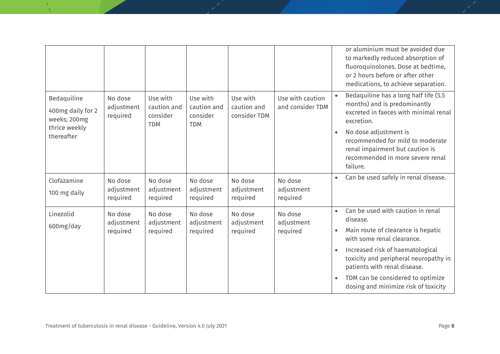|                                                                                 |                                   |                                                   |                                                   |                                         |                                      | or aluminium must be avoided due<br>to markedly reduced absorption of<br>fluoroquinolones. Dose at bedtime,<br>or 2 hours before or after other<br>medications, to achieve separation.                                                                                                                                                                          |
|---------------------------------------------------------------------------------|-----------------------------------|---------------------------------------------------|---------------------------------------------------|-----------------------------------------|--------------------------------------|-----------------------------------------------------------------------------------------------------------------------------------------------------------------------------------------------------------------------------------------------------------------------------------------------------------------------------------------------------------------|
| Bedaquiline<br>400mg daily for 2<br>weeks; 200mg<br>thrice weekly<br>thereafter | No dose<br>adjustment<br>required | Use with<br>caution and<br>consider<br><b>TDM</b> | Use with<br>caution and<br>consider<br><b>TDM</b> | Use with<br>caution and<br>consider TDM | Use with caution<br>and consider TDM | Bedaquiline has a long half life (5.5<br>months) and is predominantly<br>excreted in faeces with minimal renal<br>excretion.<br>No dose adjustment is<br>$\bullet$<br>recommended for mild to moderate<br>renal impairment but caution is<br>recommended in more severe renal<br>failure.                                                                       |
| Clofazamine<br>100 mg daily                                                     | No dose<br>adjustment<br>required | No dose<br>adjustment<br>required                 | No dose<br>adjustment<br>required                 | No dose<br>adjustment<br>required       | No dose<br>adjustment<br>required    | Can be used safely in renal disease.<br>$\bullet$                                                                                                                                                                                                                                                                                                               |
| Linezolid<br>600mg/day                                                          | No dose<br>adjustment<br>required | No dose<br>adjustment<br>required                 | No dose<br>adjustment<br>required                 | No dose<br>adjustment<br>required       | No dose<br>adjustment<br>required    | Can be used with caution in renal<br>$\bullet$<br>disease.<br>Main route of clearance is hepatic<br>$\bullet$<br>with some renal clearance.<br>Increased risk of haematological<br>$\bullet$<br>toxicity and peripheral neuropathy in<br>patients with renal disease.<br>TDM can be considered to optimize<br>$\bullet$<br>dosing and minimize risk of toxicity |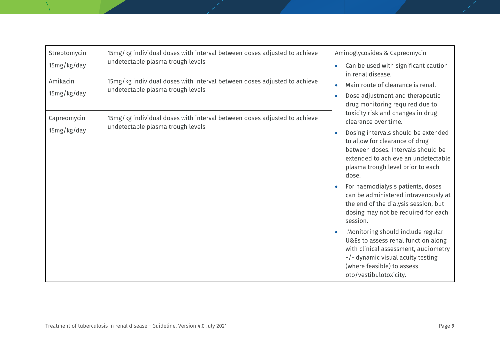| Streptomycin<br>15mg/kg/day | 15mg/kg individual doses with interval between doses adjusted to achieve<br>undetectable plasma trough levels | Aminoglycosides & Capreomycin<br>Can be used with significant caution<br>$\bullet$<br>in renal disease.<br>Main route of clearance is renal.<br>$\bullet$<br>Dose adjustment and therapeutic<br>drug monitoring required due to                                                                                                                                                                                                                                                                                                                                                                                                                        |  |  |
|-----------------------------|---------------------------------------------------------------------------------------------------------------|--------------------------------------------------------------------------------------------------------------------------------------------------------------------------------------------------------------------------------------------------------------------------------------------------------------------------------------------------------------------------------------------------------------------------------------------------------------------------------------------------------------------------------------------------------------------------------------------------------------------------------------------------------|--|--|
| Amikacin<br>15mg/kg/day     | 15mg/kg individual doses with interval between doses adjusted to achieve<br>undetectable plasma trough levels |                                                                                                                                                                                                                                                                                                                                                                                                                                                                                                                                                                                                                                                        |  |  |
| Capreomycin<br>15mg/kg/day  | 15mg/kg individual doses with interval between doses adjusted to achieve<br>undetectable plasma trough levels | toxicity risk and changes in drug<br>clearance over time.<br>Dosing intervals should be extended<br>to allow for clearance of drug<br>between doses. Intervals should be<br>extended to achieve an undetectable<br>plasma trough level prior to each<br>dose.<br>For haemodialysis patients, doses<br>can be administered intravenously at<br>the end of the dialysis session, but<br>dosing may not be required for each<br>session.<br>Monitoring should include regular<br>U&Es to assess renal function along<br>with clinical assessment, audiometry<br>+/- dynamic visual acuity testing<br>(where feasible) to assess<br>oto/vestibulotoxicity. |  |  |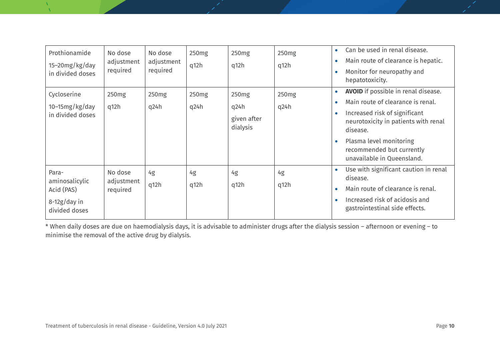| Prothionamide<br>15-20mg/kg/day<br>in divided doses                      | No dose<br>adjustment<br>required | No dose<br>adjustment<br>required | 250 <sub>mg</sub><br>q12h | 250 <sub>mg</sub><br>q12h                            | 250 <sub>mg</sub><br>q12h | Can be used in renal disease.<br>$\bullet$<br>Main route of clearance is hepatic.<br>Monitor for neuropathy and<br>hepatotoxicity.                                                                                                                                      |
|--------------------------------------------------------------------------|-----------------------------------|-----------------------------------|---------------------------|------------------------------------------------------|---------------------------|-------------------------------------------------------------------------------------------------------------------------------------------------------------------------------------------------------------------------------------------------------------------------|
| Cycloserine<br>$10-15mg/kg/day$<br>in divided doses                      | 250 <sub>mg</sub><br>q12h         | 250 <sub>mg</sub><br>q24h         | 250 <sub>mg</sub><br>q24h | 250 <sub>mg</sub><br>q24h<br>given after<br>dialysis | 250 <sub>mg</sub><br>q24h | <b>AVOID</b> if possible in renal disease.<br>$\bullet$<br>Main route of clearance is renal.<br>Increased risk of significant<br>neurotoxicity in patients with renal<br>disease.<br>Plasma level monitoring<br>recommended but currently<br>unavailable in Queensland. |
| Para-<br>aminosalicylic<br>Acid (PAS)<br>$8-12g/day$ in<br>divided doses | No dose<br>adjustment<br>required | 4g<br>q12h                        | 4g<br>q12h                | 4g<br>q12h                                           | 4g<br>q12h                | Use with significant caution in renal<br>disease.<br>Main route of clearance is renal.<br>Increased risk of acidosis and<br>gastrointestinal side effects.                                                                                                              |

\* When daily doses are due on haemodialysis days, it is advisable to administer drugs after the dialysis session – afternoon or evening – to minimise the removal of the active drug by dialysis.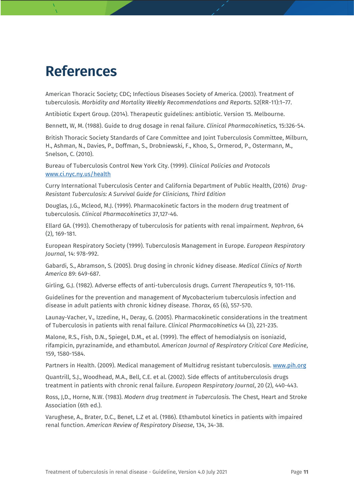# <span id="page-10-0"></span>**References**

American Thoracic Society; CDC; Infectious Diseases Society of America. (2003). Treatment of tuberculosis. *Morbidity and Mortality Weekly Recommendations and Reports*. 52(RR-11):1–77.

Antibiotic Expert Group. (2014). Therapeutic guidelines: antibiotic. Version 15. Melbourne.

Bennett, W, M. (1988). Guide to drug dosage in renal failure. *Clinical Pharmacokinetics*, 15:326-54.

British Thoracic Society Standards of Care Committee and Joint Tuberculosis Committee, Milburn, H., Ashman, N., Davies, P., Doffman, S., Drobniewski, F., Khoo, S., Ormerod, P., Ostermann, M., Snelson, C. (2010).

Bureau of Tuberculosis Control New York City. (1999). *Clinical Policies and Protocols* [www.ci.nyc.ny.us/health](http://www.ci.nyc.ny.us/health)

Curry International Tuberculosis Center and California Department of Public Health, (2016) *Drug-Resistant Tuberculosis: A Survival Guide for Clinicians, Third Edition*

Douglas, J.G., Mcleod, M.J. (1999). Pharmacokinetic factors in the modern drug treatment of tuberculosis. *Clinical Pharmacokinetics* 37,127-46.

Ellard GA. (1993). Chemotherapy of tuberculosis for patients with renal impairment. *Nephron*, 64 (2), 169-181.

European Respiratory Society (1999). Tuberculosis Management in Europe. *European Respiratory Journal*, 14: 978-992.

Gabardi, S., Abramson, S. (2005). Drug dosing in chronic kidney disease. *Medical Clinics of North America* 89: 649-687.

Girling, G.J. (1982). Adverse effects of anti-tuberculosis drugs. *Current Therapeutics* 9, 101-116.

Guidelines for the prevention and management of Mycobacterium tuberculosis infection and disease in adult patients with chronic kidney disease. *Thorax*, 65 (6), 557-570.

Launay-Vacher, V., Izzedine, H., Deray, G. (2005). Pharmacokinetic considerations in the treatment of Tuberculosis in patients with renal failure. *Clinical Pharmacokinetics* 44 (3), 221-235.

Malone, R.S., Fish, D.N., Spiegel, D.M., et al. (1999). The effect of hemodialysis on isoniazid, rifampicin, pyrazinamide, and ethambutol. *American Journal of Respiratory Critical Care Medicine*, 159, 1580-1584.

Partners in Health. (2009). Medical management of Multidrug resistant tuberculosis. [www.pih.org](http://www.pih.org/)

Quantrill, S.J., Woodhead, M.A., Bell, C.E. et al. (2002). Side effects of antituberculosis drugs treatment in patients with chronic renal failure. *European Respiratory Journal*, 20 (2), 440-443.

Ross, J,D., Horne, N.W. (1983). *Modern drug treatment in Tuberculosis*. The Chest, Heart and Stroke Association (6th ed.).

Varughese, A., Brater, D.C., Benet, L.Z et al. (1986). Ethambutol kinetics in patients with impaired renal function. *American Review of Respiratory Disease*, 134, 34-38.